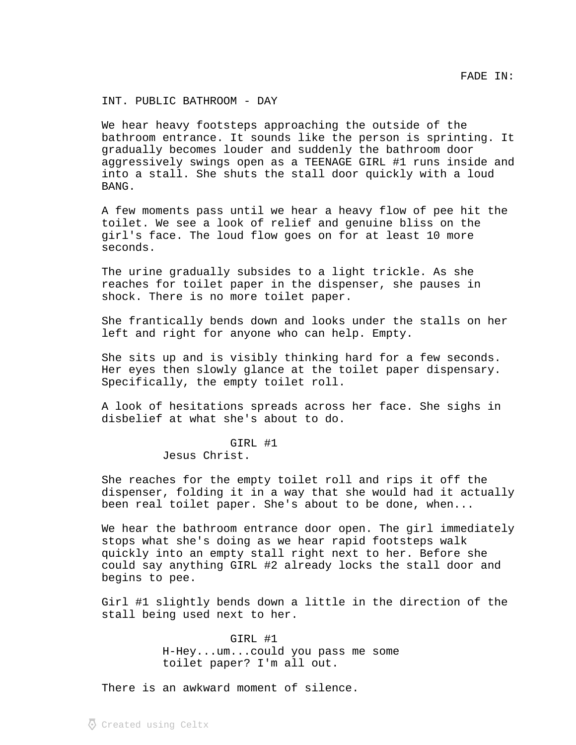INT. PUBLIC BATHROOM - DAY

We hear heavy footsteps approaching the outside of the bathroom entrance. It sounds like the person is sprinting. It gradually becomes louder and suddenly the bathroom door aggressively swings open as a TEENAGE GIRL #1 runs inside and into a stall. She shuts the stall door quickly with a loud BANG.

A few moments pass until we hear a heavy flow of pee hit the toilet. We see a look of relief and genuine bliss on the girl's face. The loud flow goes on for at least 10 more seconds.

The urine gradually subsides to a light trickle. As she reaches for toilet paper in the dispenser, she pauses in shock. There is no more toilet paper.

She frantically bends down and looks under the stalls on her left and right for anyone who can help. Empty.

She sits up and is visibly thinking hard for a few seconds. Her eyes then slowly glance at the toilet paper dispensary. Specifically, the empty toilet roll.

A look of hesitations spreads across her face. She sighs in disbelief at what she's about to do.

## GIRL #1 Jesus Christ.

She reaches for the empty toilet roll and rips it off the dispenser, folding it in a way that she would had it actually been real toilet paper. She's about to be done, when...

We hear the bathroom entrance door open. The girl immediately stops what she's doing as we hear rapid footsteps walk quickly into an empty stall right next to her. Before she could say anything GIRL #2 already locks the stall door and begins to pee.

Girl #1 slightly bends down a little in the direction of the stall being used next to her.

> GIRL #1 H-Hey...um...could you pass me some toilet paper? I'm all out.

There is an awkward moment of silence.